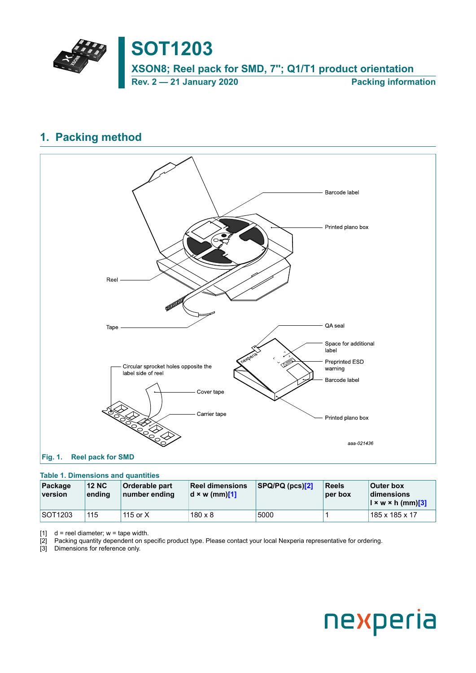

## <span id="page-0-0"></span>**1. Packing method**

<span id="page-0-1"></span>

## <span id="page-0-2"></span>**Table 1. Dimensions and quantities**

| Package<br>version | <b>12 NC</b><br>ending | <b>Orderable part</b><br>number ending | <b>Reel dimensions</b><br>$\mathbf{d} \times \mathbf{w}$ (mm)[1] | $ SPQ/ PQ$ (pcs) $[2]$ | <b>Reels</b><br>per box | <b>Outer box</b><br><b>dimensions</b><br>$\left  \right  \times w \times h$ (mm)[3] |
|--------------------|------------------------|----------------------------------------|------------------------------------------------------------------|------------------------|-------------------------|-------------------------------------------------------------------------------------|
| <b>SOT1203</b>     | 115                    | 115 or $X$                             | $180 \times 8$                                                   | 5000                   |                         | 185 x 185 x 17                                                                      |

 $[1]$  d = reel diameter; w = tape width.

[2] Packing quantity dependent on specific product type. Please contact your local Nexperia representative for ordering.

[3] Dimensions for reference only.

# nexperia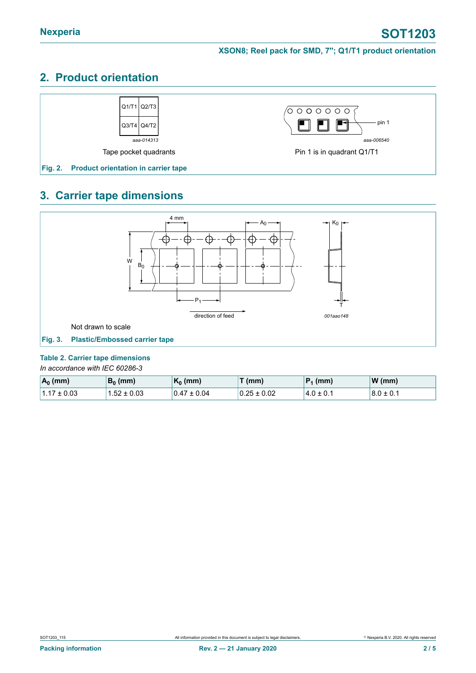# **2. Product orientation**



# **3. Carrier tape dimensions**



#### <span id="page-1-0"></span>**Table 2. Carrier tape dimensions**

*In accordance with IEC 60286-3*

| $A_0$ (mm)      | $B_0$ (mm)      | $ K_0$ (mm)     | $\mathcal{F}(\mathsf{mm})$ | $ P_1$ (mm)    | W(mm)         |
|-----------------|-----------------|-----------------|----------------------------|----------------|---------------|
| $1.17 \pm 0.03$ | $1.52 \pm 0.03$ | $0.47 \pm 0.04$ | $0.25 \pm 0.02$            | $14.0 \pm 0.1$ | $8.0 \pm 0.1$ |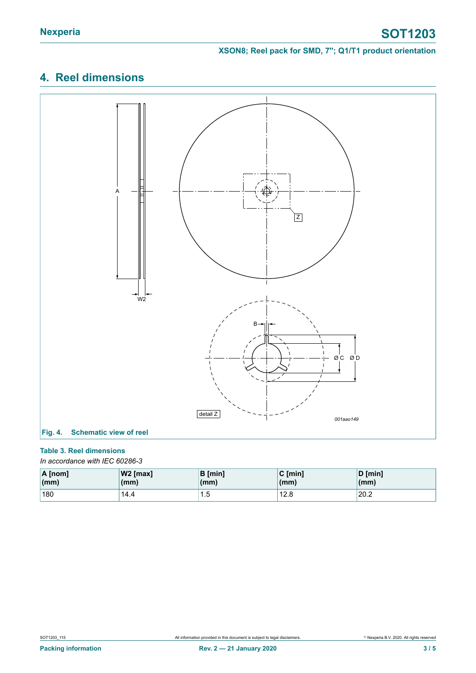## **XSON8; Reel pack for SMD, 7''; Q1/T1 product orientation**

# **4. Reel dimensions**



## <span id="page-2-0"></span>**Table 3. Reel dimensions**

*In accordance with IEC 60286-3*

| $\overline{A}$ [nom]   | $ W2$ [max] | <b>B</b> [min] | $C \text{ [min]}$ | D [min] |
|------------------------|-------------|----------------|-------------------|---------|
| $\mathsf{m}\mathsf{m}$ | (mm)        | (mm)           | (mm)              | (mm)    |
| 180                    | 14.4        | ں. ا           | 12.8              | 20.2    |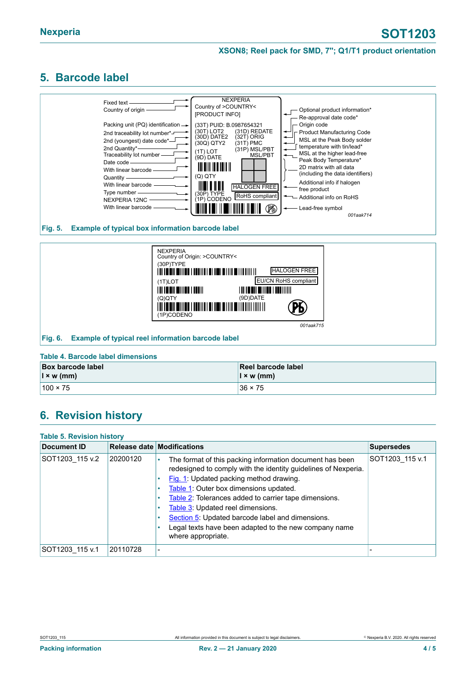### **XSON8; Reel pack for SMD, 7''; Q1/T1 product orientation**

## <span id="page-3-0"></span>**5. Barcode label**



#### **Fig. 5. Example of typical box information barcode label**



#### **Table 4. Barcode label dimensions**

| <b>Box barcode label</b>     | Reel barcode label       |
|------------------------------|--------------------------|
| $\vert x \, w \, (mm) \vert$ | $\vert x \rangle$ w (mm) |
| $100 \times 75$              | $136 \times 75$          |

## **6. Revision history**

| <b>Table 5. Revision history</b> |          |                                                                                                                                                                                                                                                                                                                                                                                                                                                       |                   |  |  |
|----------------------------------|----------|-------------------------------------------------------------------------------------------------------------------------------------------------------------------------------------------------------------------------------------------------------------------------------------------------------------------------------------------------------------------------------------------------------------------------------------------------------|-------------------|--|--|
| Document ID                      |          | Release date Modifications                                                                                                                                                                                                                                                                                                                                                                                                                            | <b>Supersedes</b> |  |  |
| SOT1203 115 v.2                  | 20200120 | The format of this packing information document has been<br>٠<br>redesigned to comply with the identity guidelines of Nexperia.<br>Fig. 1: Updated packing method drawing.<br>Table 1: Outer box dimensions updated.<br>Table 2: Tolerances added to carrier tape dimensions.<br>Table 3: Updated reel dimensions.<br>Section 5: Updated barcode label and dimensions.<br>Legal texts have been adapted to the new company name<br>where appropriate. | SOT1203 115 v.1   |  |  |
| SOT1203 115 v.1                  | 20110728 | ۰                                                                                                                                                                                                                                                                                                                                                                                                                                                     |                   |  |  |